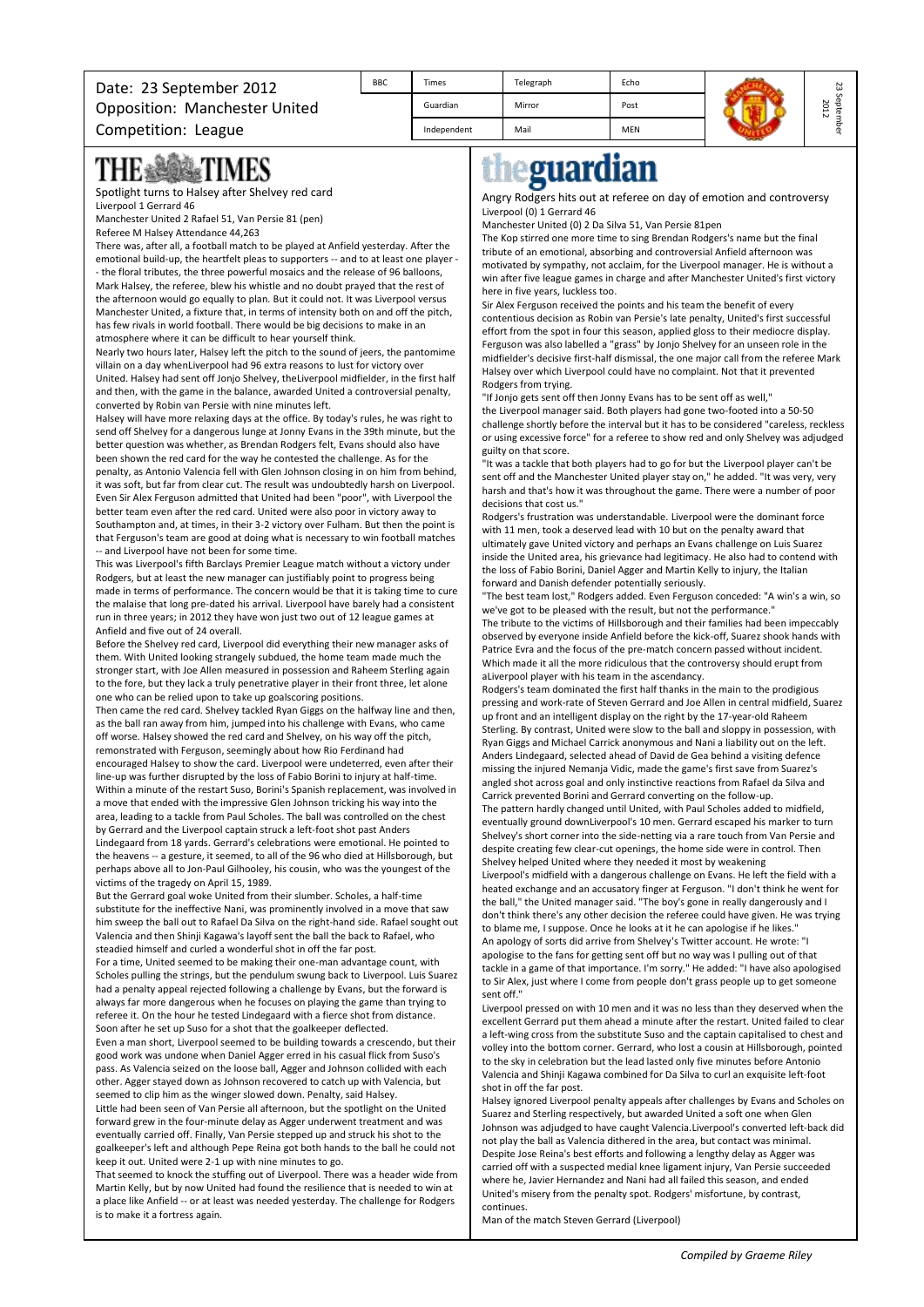| Date: 23 September 2012              | <b>BBC</b> | Times       | Telegraph | Echo       | N        |
|--------------------------------------|------------|-------------|-----------|------------|----------|
| <b>Opposition: Manchester United</b> |            | Guardian    | Mirror    | Post       | 201<br>N |
| Competition: League                  |            | Independent | Mail      | <b>MEN</b> |          |

## **THE SOMETIMES**

Spotlight turns to Halsey after Shelvey red card Liverpool 1 Gerrard 46

Manchester United 2 Rafael 51, Van Persie 81 (pen)

Referee M Halsey Attendance 44,263

There was, after all, a football match to be played at Anfield yesterday. After the emotional build-up, the heartfelt pleas to supporters -- and to at least one player - the floral tributes, the three powerful mosaics and the release of 96 balloons, Mark Halsey, the referee, blew his whistle and no doubt prayed that the rest of the afternoon would go equally to plan. But it could not. It was Liverpool versus Manchester United, a fixture that, in terms of intensity both on and off the pitch, has few rivals in world football. There would be big decisions to make in an atmosphere where it can be difficult to hear yourself think.

Nearly two hours later, Halsey left the pitch to the sound of jeers, the pantomime villain on a day whenLiverpool had 96 extra reasons to lust for victory over United. Halsey had sent off Jonjo Shelvey, theLiverpool midfielder, in the first half and then, with the game in the balance, awarded United a controversial penalty, converted by Robin van Persie with nine minutes left.

Halsey will have more relaxing days at the office. By today's rules, he was right to send off Shelvey for a dangerous lunge at Jonny Evans in the 39th minute, but the better question was whether, as Brendan Rodgers felt, Evans should also have been shown the red card for the way he contested the challenge. As for the penalty, as Antonio Valencia fell with Glen Johnson closing in on him from behind, it was soft, but far from clear cut. The result was undoubtedly harsh on Liverpool. Even Sir Alex Ferguson admitted that United had been "poor", with Liverpool the better team even after the red card. United were also poor in victory away to Southampton and, at times, in their 3-2 victory over Fulham. But then the point is that Ferguson's team are good at doing what is necessary to win football matches -- and Liverpool have not been for some time.

This was Liverpool's fifth Barclays Premier League match without a victory under Rodgers, but at least the new manager can justifiably point to progress being made in terms of performance. The concern would be that it is taking time to cure the malaise that long pre-dated his arrival. Liverpool have barely had a consistent run in three years; in 2012 they have won just two out of 12 league games at Anfield and five out of 24 overall.

Before the Shelvey red card, Liverpool did everything their new manager asks of them. With United looking strangely subdued, the home team made much the stronger start, with Joe Allen measured in possession and Raheem Sterling again to the fore, but they lack a truly penetrative player in their front three, let alone one who can be relied upon to take up goalscoring positions.

Then came the red card. Shelvey tackled Ryan Giggs on the halfway line and then, as the ball ran away from him, jumped into his challenge with Evans, who came off worse. Halsey showed the red card and Shelvey, on his way off the pitch, remonstrated with Ferguson, seemingly about how Rio Ferdinand had encouraged Halsey to show the card. Liverpool were undeterred, even after their line-up was further disrupted by the loss of Fabio Borini to injury at half-time. Within a minute of the restart Suso, Borini's Spanish replacement, was involved in a move that ended with the impressive Glen Johnson tricking his way into the area, leading to a tackle from Paul Scholes. The ball was controlled on the chest by Gerrard and the Liverpool captain struck a left-foot shot past Anders Lindegaard from 18 yards. Gerrard's celebrations were emotional. He pointed to the heavens -- a gesture, it seemed, to all of the 96 who died at Hillsborough, but perhaps above all to Jon-Paul Gilhooley, his cousin, who was the youngest of the victims of the tragedy on April 15, 1989.

But the Gerrard goal woke United from their slumber. Scholes, a half-time substitute for the ineffective Nani, was prominently involved in a move that saw him sweep the ball out to Rafael Da Silva on the right-hand side. Rafael sought out Valencia and then Shinji Kagawa's layoff sent the ball the back to Rafael, who steadied himself and curled a wonderful shot in off the far post.

For a time, United seemed to be making their one-man advantage count, with Scholes pulling the strings, but the pendulum swung back to Liverpool. Luis Suarez had a penalty appeal rejected following a challenge by Evans, but the forward is always far more dangerous when he focuses on playing the game than trying to referee it. On the hour he tested Lindegaard with a fierce shot from distance. Soon after he set up Suso for a shot that the goalkeeper deflected.

Even a man short, Liverpool seemed to be building towards a crescendo, but their good work was undone when Daniel Agger erred in his casual flick from Suso's pass. As Valencia seized on the loose ball, Agger and Johnson collided with each other. Agger stayed down as Johnson recovered to catch up with Valencia, but seemed to clip him as the winger slowed down. Penalty, said Halsey.

Little had been seen of Van Persie all afternoon, but the spotlight on the United forward grew in the four-minute delay as Agger underwent treatment and was eventually carried off. Finally, Van Persie stepped up and struck his shot to the goalkeeper's left and although Pepe Reina got both hands to the ball he could not keep it out. United were 2-1 up with nine minutes to go.

That seemed to knock the stuffing out of Liverpool. There was a header wide from Martin Kelly, but by now United had found the resilience that is needed to win at a place like Anfield -- or at least was needed yesterday. The challenge for Rodgers is to make it a fortress again.

## eguardian

Angry Rodgers hits out at referee on day of emotion and controversy Liverpool (0) 1 Gerrard 46

Manchester United (0) 2 Da Silva 51, Van Persie 81pen

The Kop stirred one more time to sing Brendan Rodgers's name but the final tribute of an emotional, absorbing and controversial Anfield afternoon was motivated by sympathy, not acclaim, for the Liverpool manager. He is without a win after five league games in charge and after Manchester United's first victory here in five years, luckless too.

Sir Alex Ferguson received the points and his team the benefit of every contentious decision as Robin van Persie's late penalty, United's first successful effort from the spot in four this season, applied gloss to their mediocre display. Ferguson was also labelled a "grass" by Jonjo Shelvey for an unseen role in the midfielder's decisive first-half dismissal, the one major call from the referee Mark Halsey over which Liverpool could have no complaint. Not that it prevented Rodgers from trying.

"If Jonjo gets sent off then Jonny Evans has to be sent off as well,"

the Liverpool manager said. Both players had gone two-footed into a 50-50 challenge shortly before the interval but it has to be considered "careless, reckless or using excessive force" for a referee to show red and only Shelvey was adjudged guilty on that score.

"It was a tackle that both players had to go for but the Liverpool player can't be sent off and the Manchester United player stay on," he added. "It was very, very harsh and that's how it was throughout the game. There were a number of poor decisions that cost us."

Rodgers's frustration was understandable. Liverpool were the dominant force with 11 men, took a deserved lead with 10 but on the penalty award that ultimately gave United victory and perhaps an Evans challenge on Luis Suarez inside the United area, his grievance had legitimacy. He also had to contend with the loss of Fabio Borini, Daniel Agger and Martin Kelly to injury, the Italian forward and Danish defender potentially seriously.

"The best team lost," Rodgers added. Even Ferguson conceded: "A win's a win, so we've got to be pleased with the result, but not the performance.

The tribute to the victims of Hillsborough and their families had been impeccably observed by everyone inside Anfield before the kick-off, Suarez shook hands with Patrice Evra and the focus of the pre-match concern passed without incident. Which made it all the more ridiculous that the controversy should erupt from al iverpool player with his team in the ascendancy.

Rodgers's team dominated the first half thanks in the main to the prodigious pressing and work-rate of Steven Gerrard and Joe Allen in central midfield, Suarez up front and an intelligent display on the right by the 17-year-old Raheem Sterling. By contrast, United were slow to the ball and sloppy in possession, with Ryan Giggs and Michael Carrick anonymous and Nani a liability out on the left. Anders Lindegaard, selected ahead of David de Gea behind a visiting defence missing the injured Nemanja Vidic, made the game's first save from Suarez's angled shot across goal and only instinctive reactions from Rafael da Silva and Carrick prevented Borini and Gerrard converting on the follow-up.

The pattern hardly changed until United, with Paul Scholes added to midfield, eventually ground downLiverpool's 10 men. Gerrard escaped his marker to turn Shelvey's short corner into the side-netting via a rare touch from Van Persie and despite creating few clear-cut openings, the home side were in control. Then Shelvey helped United where they needed it most by weakening

Liverpool's midfield with a dangerous challenge on Evans. He left the field with a heated exchange and an accusatory finger at Ferguson. "I don't think he went for the ball," the United manager said. "The boy's gone in really dangerously and I don't think there's any other decision the referee could have given. He was trying to blame me, I suppose. Once he looks at it he can apologise if he likes." An apology of sorts did arrive from Shelvey's Twitter account. He wrote: "I apologise to the fans for getting sent off but no way was I pulling out of that tackle in a game of that importance. I'm sorry." He added: "I have also apologised to Sir Alex, just where I come from people don't grass people up to get someone sent off.

Liverpool pressed on with 10 men and it was no less than they deserved when the excellent Gerrard put them ahead a minute after the restart. United failed to clear a left-wing cross from the substitute Suso and the captain capitalised to chest and volley into the bottom corner. Gerrard, who lost a cousin at Hillsborough, pointed to the sky in celebration but the lead lasted only five minutes before Antonio Valencia and Shinji Kagawa combined for Da Silva to curl an exquisite left-foot shot in off the far post.

Halsey ignored Liverpool penalty appeals after challenges by Evans and Scholes on Suarez and Sterling respectively, but awarded United a soft one when Glen Johnson was adjudged to have caught Valencia.Liverpool's converted left-back did not play the ball as Valencia dithered in the area, but contact was minimal. Despite Jose Reina's best efforts and following a lengthy delay as Agger was carried off with a suspected medial knee ligament injury, Van Persie succeeded where he, Javier Hernandez and Nani had all failed this season, and ended United's misery from the penalty spot. Rodgers' misfortune, by contrast, continues.

Man of the match Steven Gerrard (Liverpool)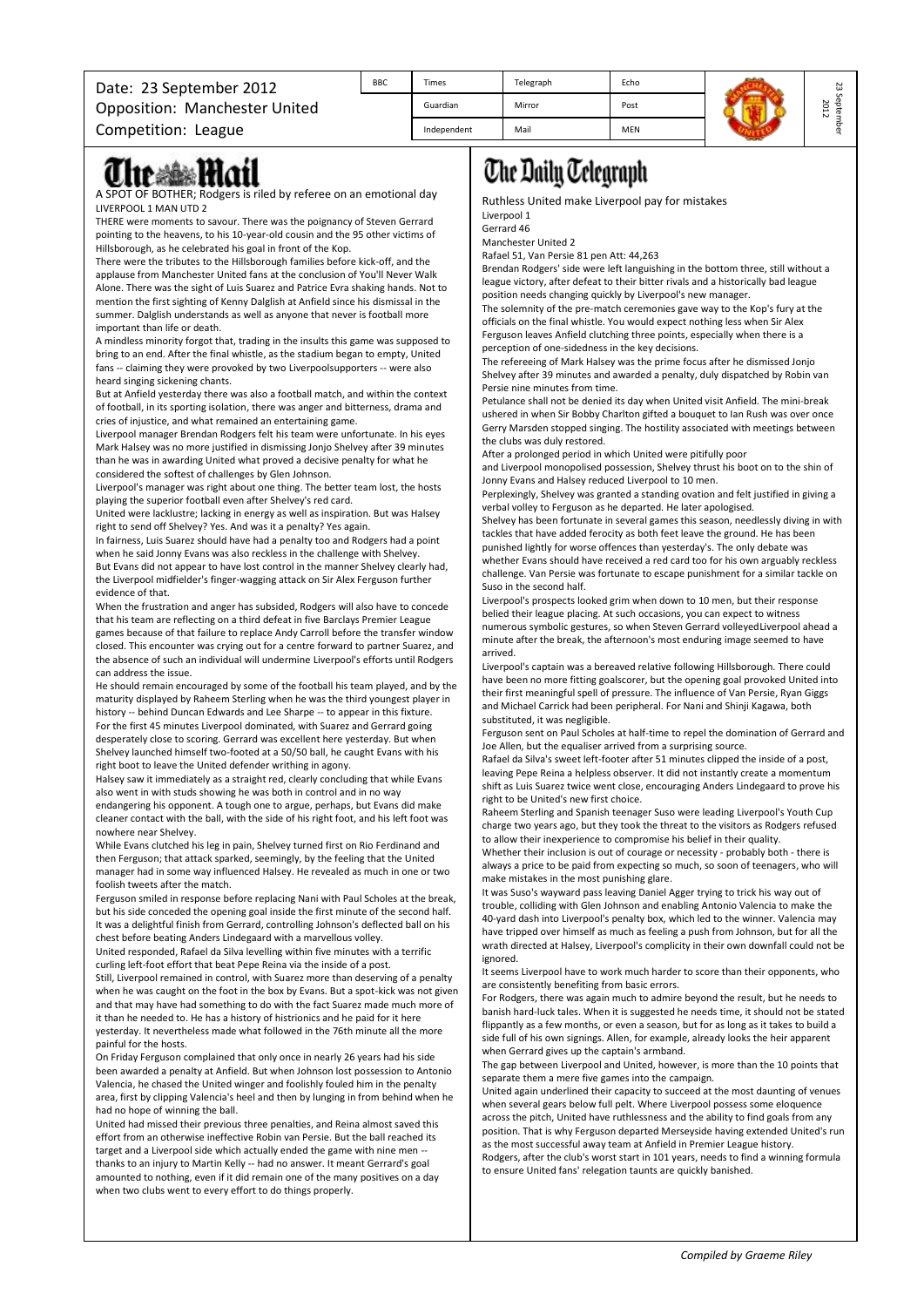| Date: 23 September 2012              | <b>BBC</b> | Times       | Telegraph | Echo       |          |
|--------------------------------------|------------|-------------|-----------|------------|----------|
| <b>Opposition: Manchester United</b> |            | Guardian    | Mirror    | Post       | 201<br>N |
| Competition: League                  |            | Independent | Mail      | <b>MEN</b> |          |

## The **Mail**

A SPOT OF BOTHER; Rodgers is riled by referee on an emotional day LIVERPOOL 1 MAN UTD 2

THERE were moments to savour. There was the poignancy of Steven Gerrard pointing to the heavens, to his 10-year-old cousin and the 95 other victims of Hillsborough, as he celebrated his goal in front of the Kop.

There were the tributes to the Hillsborough families before kick-off, and the applause from Manchester United fans at the conclusion of You'll Never Walk Alone. There was the sight of Luis Suarez and Patrice Evra shaking hands. Not to mention the first sighting of Kenny Dalglish at Anfield since his dismissal in the summer. Dalglish understands as well as anyone that never is football more important than life or death.

A mindless minority forgot that, trading in the insults this game was supposed to bring to an end. After the final whistle, as the stadium began to empty, United fans -- claiming they were provoked by two Liverpoolsupporters -- were also heard singing sickening chants.

But at Anfield yesterday there was also a football match, and within the context of football, in its sporting isolation, there was anger and bitterness, drama and cries of injustice, and what remained an entertaining game.

Liverpool manager Brendan Rodgers felt his team were unfortunate. In his eyes Mark Halsey was no more justified in dismissing Jonjo Shelvey after 39 minutes than he was in awarding United what proved a decisive penalty for what he considered the softest of challenges by Glen Johnson.

Liverpool's manager was right about one thing. The better team lost, the hosts playing the superior football even after Shelvey's red card.

United were lacklustre; lacking in energy as well as inspiration. But was Halsey right to send off Shelvey? Yes. And was it a penalty? Yes again.

In fairness, Luis Suarez should have had a penalty too and Rodgers had a point when he said Jonny Evans was also reckless in the challenge with Shelvey. But Evans did not appear to have lost control in the manner Shelvey clearly had, the Liverpool midfielder's finger-wagging attack on Sir Alex Ferguson further evidence of that.

When the frustration and anger has subsided, Rodgers will also have to concede that his team are reflecting on a third defeat in five Barclays Premier League games because of that failure to replace Andy Carroll before the transfer window closed. This encounter was crying out for a centre forward to partner Suarez, and the absence of such an individual will undermine Liverpool's efforts until Rodgers can address the issue.

He should remain encouraged by some of the football his team played, and by the maturity displayed by Raheem Sterling when he was the third youngest player in history -- behind Duncan Edwards and Lee Sharpe -- to appear in this fixture. For the first 45 minutes Liverpool dominated, with Suarez and Gerrard going desperately close to scoring. Gerrard was excellent here yesterday. But when Shelvey launched himself two-footed at a 50/50 ball, he caught Evans with his right boot to leave the United defender writhing in agony.

Halsey saw it immediately as a straight red, clearly concluding that while Evans also went in with studs showing he was both in control and in no way endangering his opponent. A tough one to argue, perhaps, but Evans did make

cleaner contact with the ball, with the side of his right foot, and his left foot was nowhere near Shelvey.

While Evans clutched his leg in pain, Shelvey turned first on Rio Ferdinand and then Ferguson; that attack sparked, seemingly, by the feeling that the United manager had in some way influenced Halsey. He revealed as much in one or two foolish tweets after the match.

Ferguson smiled in response before replacing Nani with Paul Scholes at the break, but his side conceded the opening goal inside the first minute of the second half. It was a delightful finish from Gerrard, controlling Johnson's deflected ball on his chest before beating Anders Lindegaard with a marvellous volley.

United responded, Rafael da Silva levelling within five minutes with a terrific curling left-foot effort that beat Pepe Reina via the inside of a post.

Still, Liverpool remained in control, with Suarez more than deserving of a penalty when he was caught on the foot in the box by Evans. But a spot-kick was not given and that may have had something to do with the fact Suarez made much more of it than he needed to. He has a history of histrionics and he paid for it here yesterday. It nevertheless made what followed in the 76th minute all the more painful for the hosts.

On Friday Ferguson complained that only once in nearly 26 years had his side been awarded a penalty at Anfield. But when Johnson lost possession to Antonio Valencia, he chased the United winger and foolishly fouled him in the penalty area, first by clipping Valencia's heel and then by lunging in from behind when he had no hope of winning the ball.

United had missed their previous three penalties, and Reina almost saved this effort from an otherwise ineffective Robin van Persie. But the ball reached its target and a Liverpool side which actually ended the game with nine men thanks to an injury to Martin Kelly -- had no answer. It meant Gerrard's goal amounted to nothing, even if it did remain one of the many positives on a day when two clubs went to every effort to do things properly.

## **The Daily Telegraph**

Ruthless United make Liverpool pay for mistakes

Liverpool 1

Gerrard 46 Manchester United 2

Rafael 51, Van Persie 81 pen Att: 44,263

Brendan Rodgers' side were left languishing in the bottom three, still without a league victory, after defeat to their bitter rivals and a historically bad league position needs changing quickly by Liverpool's new manager.

The solemnity of the pre-match ceremonies gave way to the Kop's fury at the officials on the final whistle. You would expect nothing less when Sir Alex Ferguson leaves Anfield clutching three points, especially when there is a perception of one-sidedness in the key decisions.

The refereeing of Mark Halsey was the prime focus after he dismissed Jonjo Shelvey after 39 minutes and awarded a penalty, duly dispatched by Robin van Persie nine minutes from time.

Petulance shall not be denied its day when United visit Anfield. The mini-break ushered in when Sir Bobby Charlton gifted a bouquet to Ian Rush was over once Gerry Marsden stopped singing. The hostility associated with meetings between the clubs was duly restored.

After a prolonged period in which United were pitifully poor

and Liverpool monopolised possession, Shelvey thrust his boot on to the shin of Jonny Evans and Halsey reduced Liverpool to 10 men.

Perplexingly, Shelvey was granted a standing ovation and felt justified in giving a verbal volley to Ferguson as he departed. He later apologised.

Shelvey has been fortunate in several games this season, needlessly diving in with tackles that have added ferocity as both feet leave the ground. He has been punished lightly for worse offences than yesterday's. The only debate was

whether Evans should have received a red card too for his own arguably reckless challenge. Van Persie was fortunate to escape punishment for a similar tackle on Suso in the second half.

Liverpool's prospects looked grim when down to 10 men, but their response belied their league placing. At such occasions, you can expect to witness numerous symbolic gestures, so when Steven Gerrard volleyedLiverpool ahead a minute after the break, the afternoon's most enduring image seemed to have arrived.

Liverpool's captain was a bereaved relative following Hillsborough. There could have been no more fitting goalscorer, but the opening goal provoked United into their first meaningful spell of pressure. The influence of Van Persie, Ryan Giggs and Michael Carrick had been peripheral. For Nani and Shinji Kagawa, both substituted, it was negligible.

Ferguson sent on Paul Scholes at half-time to repel the domination of Gerrard and Joe Allen, but the equaliser arrived from a surprising source.

Rafael da Silva's sweet left-footer after 51 minutes clipped the inside of a post, leaving Pepe Reina a helpless observer. It did not instantly create a momentum shift as Luis Suarez twice went close, encouraging Anders Lindegaard to prove his right to be United's new first choice.

Raheem Sterling and Spanish teenager Suso were leading Liverpool's Youth Cup charge two years ago, but they took the threat to the visitors as Rodgers refused to allow their inexperience to compromise his belief in their quality.

Whether their inclusion is out of courage or necessity - probably both - there is always a price to be paid from expecting so much, so soon of teenagers, who will make mistakes in the most punishing glare.

It was Suso's wayward pass leaving Daniel Agger trying to trick his way out of trouble, colliding with Glen Johnson and enabling Antonio Valencia to make the 40-yard dash into Liverpool's penalty box, which led to the winner. Valencia may have tripped over himself as much as feeling a push from Johnson, but for all the wrath directed at Halsey, Liverpool's complicity in their own downfall could not be ignored.

It seems Liverpool have to work much harder to score than their opponents, who are consistently benefiting from basic errors.

For Rodgers, there was again much to admire beyond the result, but he needs to banish hard-luck tales. When it is suggested he needs time, it should not be stated flippantly as a few months, or even a season, but for as long as it takes to build a side full of his own signings. Allen, for example, already looks the heir apparent when Gerrard gives un the cantain's armhand.

The gap between Liverpool and United, however, is more than the 10 points that separate them a mere five games into the campaign.

United again underlined their capacity to succeed at the most daunting of venues when several gears below full pelt. Where Liverpool possess some eloquence across the pitch, United have ruthlessness and the ability to find goals from any position. That is why Ferguson departed Merseyside having extended United's run as the most successful away team at Anfield in Premier League history. Rodgers, after the club's worst start in 101 years, needs to find a winning formula to ensure United fans' relegation taunts are quickly banished.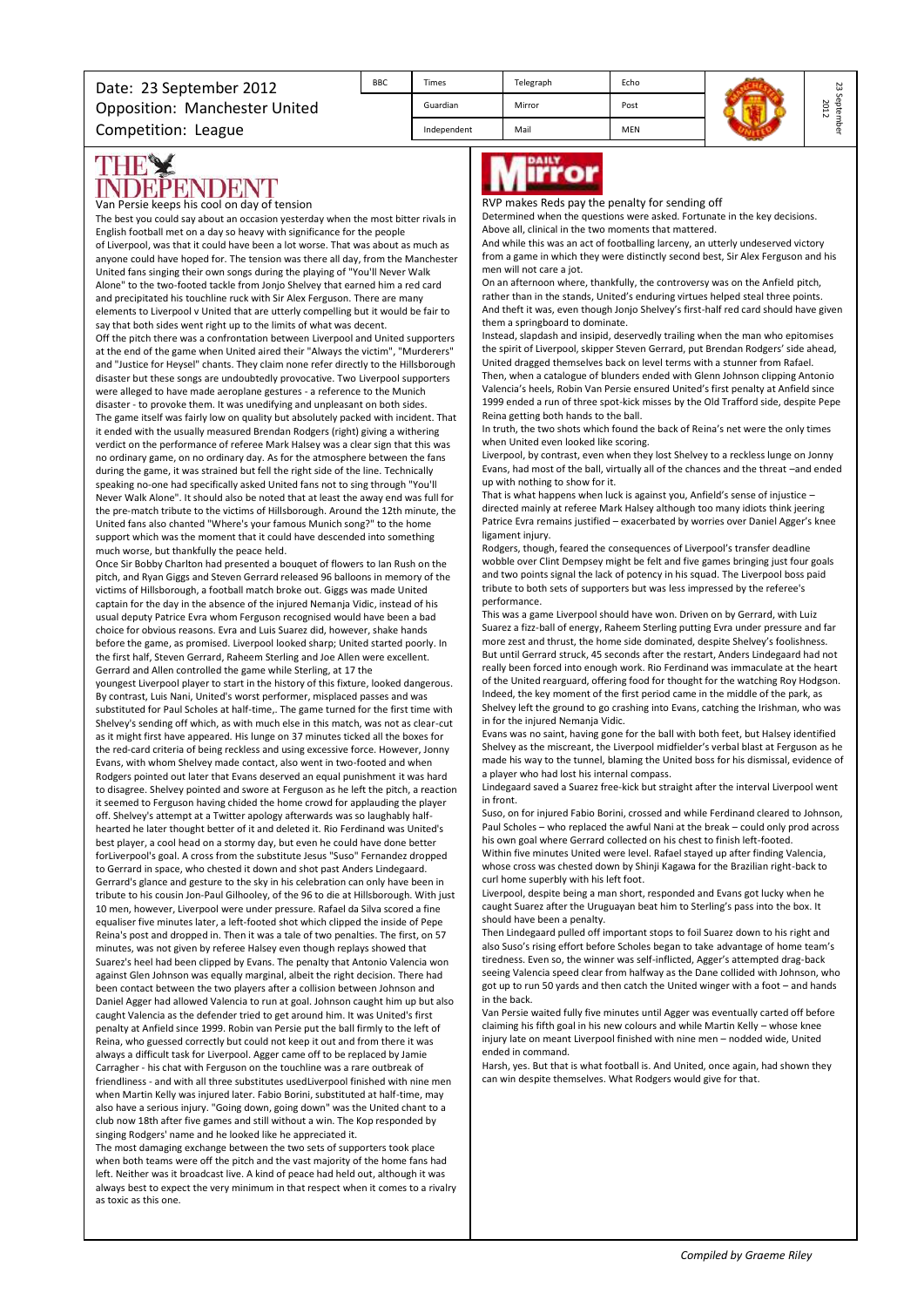| Date: 23 September 2012              | <b>BBC</b> | Times       | Telegraph | Echo       |          |
|--------------------------------------|------------|-------------|-----------|------------|----------|
| <b>Opposition: Manchester United</b> |            | Guardian    | Mirror    | Post       | 201<br>N |
| Competition: League                  |            | Independent | Mail      | <b>MEN</b> |          |

#### **THEX** EPENDENT Van Persie keeps his cool on day of tension

The best you could say about an occasion yesterday when the most bitter rivals in English football met on a day so heavy with significance for the people of Liverpool, was that it could have been a lot worse. That was about as much as anyone could have hoped for. The tension was there all day, from the Manchester United fans singing their own songs during the playing of "You'll Never Walk Alone" to the two-footed tackle from Jonjo Shelvey that earned him a red card and precipitated his touchline ruck with Sir Alex Ferguson. There are many elements to Liverpool v United that are utterly compelling but it would be fair to say that both sides went right up to the limits of what was decent.

Off the pitch there was a confrontation between Liverpool and United supporters at the end of the game when United aired their "Always the victim", "Murderers" and "Justice for Heysel" chants. They claim none refer directly to the Hillsborough disaster but these songs are undoubtedly provocative. Two Liverpool supporters were alleged to have made aeroplane gestures - a reference to the Munich disaster - to provoke them. It was unedifying and unpleasant on both sides. The game itself was fairly low on quality but absolutely packed with incident. That it ended with the usually measured Brendan Rodgers (right) giving a withering verdict on the performance of referee Mark Halsey was a clear sign that this was no ordinary game, on no ordinary day. As for the atmosphere between the fans during the game, it was strained but fell the right side of the line. Technically speaking no-one had specifically asked United fans not to sing through "You'll Never Walk Alone". It should also be noted that at least the away end was full for the pre-match tribute to the victims of Hillsborough. Around the 12th minute, the United fans also chanted "Where's your famous Munich song?" to the home support which was the moment that it could have descended into something much worse, but thankfully the peace held.

Once Sir Bobby Charlton had presented a bouquet of flowers to Ian Rush on the pitch, and Ryan Giggs and Steven Gerrard released 96 balloons in memory of the victims of Hillsborough, a football match broke out. Giggs was made United captain for the day in the absence of the injured Nemanja Vidic, instead of his usual deputy Patrice Evra whom Ferguson recognised would have been a bad choice for obvious reasons. Evra and Luis Suarez did, however, shake hands before the game, as promised. Liverpool looked sharp; United started poorly. In the first half, Steven Gerrard, Raheem Sterling and Joe Allen were excellent. Gerrard and Allen controlled the game while Sterling, at 17 the youngest Liverpool player to start in the history of this fixture, looked dangerous. By contrast, Luis Nani, United's worst performer, misplaced passes and was substituted for Paul Scholes at half-time,. The game turned for the first time with Shelvey's sending off which, as with much else in this match, was not as clear-cut as it might first have appeared. His lunge on 37 minutes ticked all the boxes for the red-card criteria of being reckless and using excessive force. However, Jonny Evans, with whom Shelvey made contact, also went in two-footed and when Rodgers pointed out later that Evans deserved an equal punishment it was hard to disagree. Shelvey pointed and swore at Ferguson as he left the pitch, a reaction it seemed to Ferguson having chided the home crowd for applauding the player off. Shelvey's attempt at a Twitter apology afterwards was so laughably halfhearted he later thought better of it and deleted it. Rio Ferdinand was United's best player, a cool head on a stormy day, but even he could have done better forLiverpool's goal. A cross from the substitute Jesus "Suso" Fernandez dropped to Gerrard in space, who chested it down and shot past Anders Lindegaard. Gerrard's glance and gesture to the sky in his celebration can only have been in tribute to his cousin Jon-Paul Gilhooley, of the 96 to die at Hillsborough. With just 10 men, however, Liverpool were under pressure. Rafael da Silva scored a fine equaliser five minutes later, a left-footed shot which clipped the inside of Pepe Reina's post and dropped in. Then it was a tale of two penalties. The first, on 57 minutes, was not given by referee Halsey even though replays showed that Suarez's heel had been clipped by Evans. The penalty that Antonio Valencia won against Glen Johnson was equally marginal, albeit the right decision. There had been contact between the two players after a collision between Johnson and Daniel Agger had allowed Valencia to run at goal. Johnson caught him up but also caught Valencia as the defender tried to get around him. It was United's first penalty at Anfield since 1999. Robin van Persie put the ball firmly to the left of Reina, who guessed correctly but could not keep it out and from there it was always a difficult task for Liverpool. Agger came off to be replaced by Jamie Carragher - his chat with Ferguson on the touchline was a rare outbreak of friendliness - and with all three substitutes usedLiverpool finished with nine men when Martin Kelly was injured later. Fabio Borini, substituted at half-time, may also have a serious injury. "Going down, going down" was the United chant to a club now 18th after five games and still without a win. The Kop responded by singing Rodgers' name and he looked like he appreciated it. The most damaging exchange between the two sets of supporters took place

when both teams were off the pitch and the vast majority of the home fans had left. Neither was it broadcast live. A kind of peace had held out, although it was always best to expect the very minimum in that respect when it comes to a rivalry as toxic as this one.

# ırror

RVP makes Reds pay the penalty for sending off

Determined when the questions were asked. Fortunate in the key decisions. Above all, clinical in the two moments that mattered.

And while this was an act of footballing larceny, an utterly undeserved victory from a game in which they were distinctly second best, Sir Alex Ferguson and his men will not care a jot.

On an afternoon where, thankfully, the controversy was on the Anfield pitch, rather than in the stands, United's enduring virtues helped steal three points. And theft it was, even though Jonjo Shelvey's first-half red card should have given them a springboard to dominate

Instead, slapdash and insipid, deservedly trailing when the man who epitomises the spirit of Liverpool, skipper Steven Gerrard, put Brendan Rodgers' side ahead, United dragged themselves back on level terms with a stunner from Rafael. Then, when a catalogue of blunders ended with Glenn Johnson clipping Antonio Valencia's heels, Robin Van Persie ensured United's first penalty at Anfield since 1999 ended a run of three spot-kick misses by the Old Trafford side, despite Pepe Reina getting both hands to the ball.

In truth, the two shots which found the back of Reina's net were the only times when United even looked like scoring.

Liverpool, by contrast, even when they lost Shelvey to a reckless lunge on Jonny Evans, had most of the ball, virtually all of the chances and the threat –and ended up with nothing to show for it.

That is what happens when luck is against you, Anfield's sense of injustice – directed mainly at referee Mark Halsey although too many idiots think jeering Patrice Evra remains justified – exacerbated by worries over Daniel Agger's knee ligament injury.

Rodgers, though, feared the consequences of Liverpool's transfer deadline wobble over Clint Dempsey might be felt and five games bringing just four goals and two points signal the lack of potency in his squad. [The Liverpool boss paid](http://www.mirror.co.uk/sport/football/news/liverpool-vs-manchester-united-brendan-1340654)  [tribute to both sets of supporters but was less impressed by the referee's](http://www.mirror.co.uk/sport/football/news/liverpool-vs-manchester-united-brendan-1340654)  [performance.](http://www.mirror.co.uk/sport/football/news/liverpool-vs-manchester-united-brendan-1340654)

This was a game Liverpool should have won. Driven on by Gerrard, with Luiz Suarez a fizz-ball of energy, Raheem Sterling putting Evra under pressure and far more zest and thrust, the home side dominated, despite Shelvey's foolishness. But until Gerrard struck, 45 seconds after the restart, Anders Lindegaard had not really been forced into enough work. Rio Ferdinand was immaculate at the heart of the United rearguard, offering food for thought for the watching Roy Hodgson. Indeed, the key moment of the first period came in the middle of the park, as Shelvey left the ground to go crashing into Evans, catching the Irishman, who was in for the injured Nemanja Vidic.

Evans was no saint, having gone for the ball with both feet, but Halsey identified Shelvey as the miscreant, the Liverpool midfielder's verbal blast at Ferguson as he made his way to the tunnel, [blaming the United boss for his dismissal,](http://www.mirror.co.uk/sport/football/news/liverpool-vs-manchester-united-jonjo-1340628) evidence of a player who had lost his internal compass.

Lindegaard saved a Suarez free-kick but straight after the interval Liverpool went in front.

Suso, on for injured Fabio Borini, crossed and while Ferdinand cleared to Johnson, Paul Scholes – who replaced the awful Nani at the break – could only prod across his own goal where Gerrard collected on his chest to finish left-footed.

Within five minutes United were level. Rafael stayed up after finding Valencia, whose cross was chested down by Shinji Kagawa for the Brazilian right-back to curl home superbly with his left foot.

Liverpool, despite being a man short, responded and Evans got lucky when he caught Suarez after the Uruguayan beat him to Sterling's pass into the box. It should have been a penalty.

Then Lindegaard pulled off important stops to foil Suarez down to his right and also Suso's rising effort before Scholes began to take advantage of home team's tiredness. Even so, the winner was self-inflicted, Agger's attempted drag-back seeing Valencia speed clear from halfway as the Dane collided with Johnson, who got up to run 50 yards and then catch the United winger with a foot – and hands in the back.

Van Persie waited fully five minutes until Agger was eventually carted off before claiming his fifth goal in his new colours and while Martin Kelly – whose knee injury late on meant Liverpool finished with nine men – nodded wide, United ended in command.

Harsh, yes. But that is what football is. And United, once again, had shown they can win despite themselves. What Rodgers would give for that.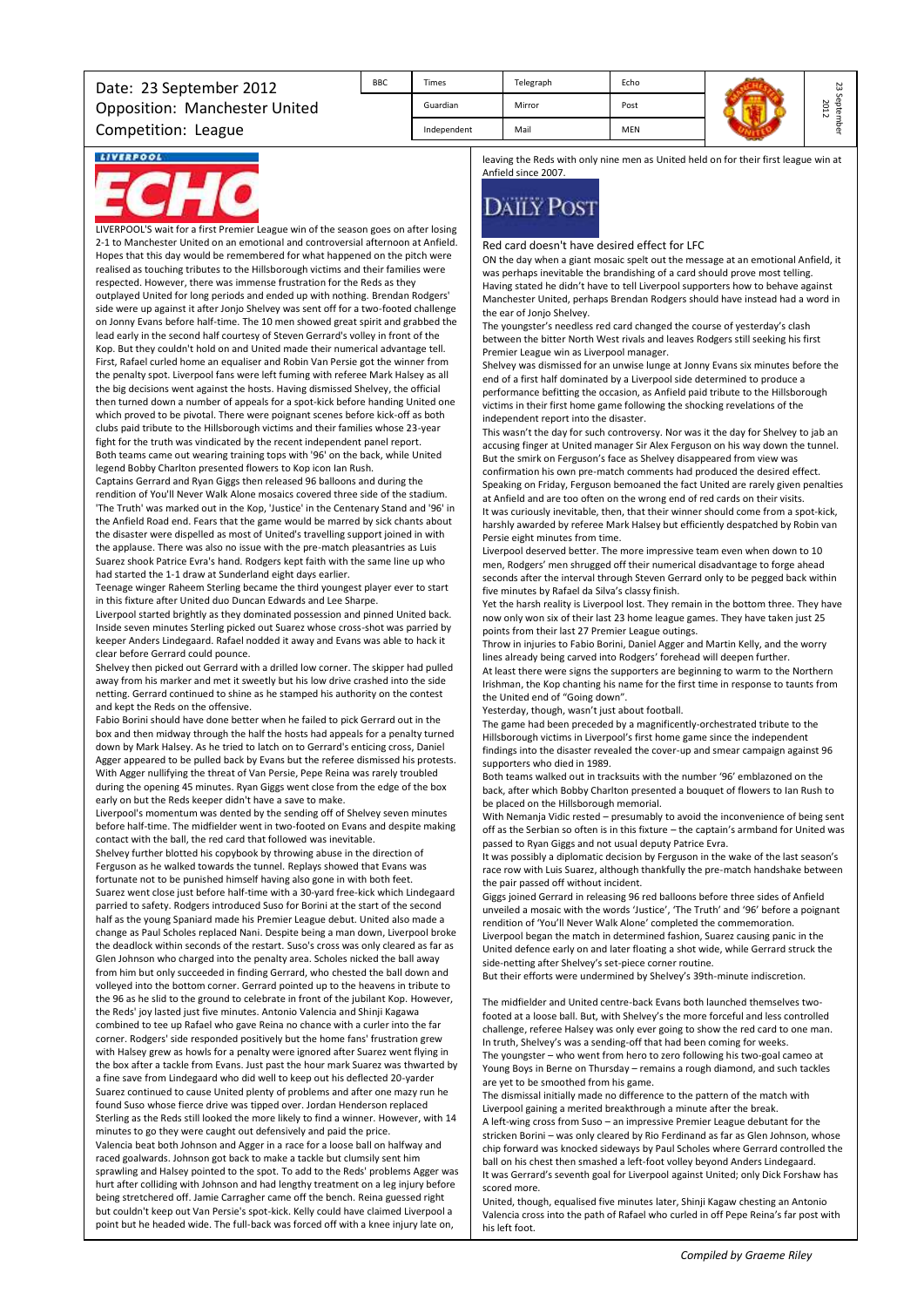| Date: 23 September 2012              | <b>BBC</b> | Times       | Telegraph | Echo       | $\sim$<br>س |
|--------------------------------------|------------|-------------|-----------|------------|-------------|
| <b>Opposition: Manchester United</b> |            | Guardian    | Mirror    | Post       | 201<br>N    |
| Competition: League                  |            | Independent | Mail      | <b>MEN</b> |             |



LIVERPOOL'S wait for a first Premier League win of the season goes on after losing 2-1 to Manchester United on an emotional and controversial afternoon at Anfield. Hopes that this day would be remembered for what happened on the pitch were realised as touching tributes to the Hillsborough victims and their families were respected. However, there was immense frustration for the Reds as they outplayed United for long periods and ended up with nothing. Brendan Rodgers' side were up against it after Jonjo Shelvey was sent off for a two-footed challenge on Jonny Evans before half-time. The 10 men showed great spirit and grabbed the lead early in the second half courtesy of Steven Gerrard's volley in front of the Kop. But they couldn't hold on and United made their numerical advantage tell. First, Rafael curled home an equaliser and Robin Van Persie got the winner from the penalty spot. Liverpool fans were left fuming with referee Mark Halsey as all the big decisions went against the hosts. Having dismissed Shelvey, the official then turned down a number of appeals for a spot-kick before handing United one which proved to be pivotal. There were poignant scenes before kick-off as both clubs paid tribute to the Hillsborough victims and their families whose 23-year fight for the truth was vindicated by the recent independent panel report. Both teams came out wearing training tops with '96' on the back, while United legend Bobby Charlton presented flowers to Kop icon Ian Rush.

Captains Gerrard and Ryan Giggs then released 96 balloons and during the rendition of You'll Never Walk Alone mosaics covered three side of the stadium. 'The Truth' was marked out in the Kop, 'Justice' in the Centenary Stand and '96' in the Anfield Road end. Fears that the game would be marred by sick chants about the disaster were dispelled as most of United's travelling support joined in with the applause. There was also no issue with the pre-match pleasantries as Luis Suarez shook Patrice Evra's hand. Rodgers kept faith with the same line up who had started the 1-1 draw at Sunderland eight days earlier.

Teenage winger Raheem Sterling became the third youngest player ever to start in this fixture after United duo Duncan Edwards and Lee Sharpe.

Liverpool started brightly as they dominated possession and pinned United back. Inside seven minutes Sterling picked out Suarez whose cross-shot was parried by keeper Anders Lindegaard. Rafael nodded it away and Evans was able to hack it clear before Gerrard could pounce.

Shelvey then picked out Gerrard with a drilled low corner. The skipper had pulled away from his marker and met it sweetly but his low drive crashed into the side netting. Gerrard continued to shine as he stamped his authority on the contest and kept the Reds on the offensive.

Fabio Borini should have done better when he failed to pick Gerrard out in the box and then midway through the half the hosts had appeals for a penalty turned down by Mark Halsey. As he tried to latch on to Gerrard's enticing cross, Daniel Agger appeared to be pulled back by Evans but the referee dismissed his protests. With Agger nullifying the threat of Van Persie, Pepe Reina was rarely troubled during the opening 45 minutes. Ryan Giggs went close from the edge of the box early on but the Reds keeper didn't have a save to make.

Liverpool's momentum was dented by the sending off of Shelvey seven minutes before half-time. The midfielder went in two-footed on Evans and despite making contact with the ball, the red card that followed was inevitable.

Shelvey further blotted his copybook by throwing abuse in the direction of Ferguson as he walked towards the tunnel. Replays showed that Evans was fortunate not to be punished himself having also gone in with both feet. Suarez went close just before half-time with a 30-yard free-kick which Lindegaard parried to safety. Rodgers introduced Suso for Borini at the start of the second half as the young Spaniard made his Premier League debut. United also made a change as Paul Scholes replaced Nani. Despite being a man down, Liverpool broke the deadlock within seconds of the restart. Suso's cross was only cleared as far as Glen Johnson who charged into the penalty area. Scholes nicked the ball away from him but only succeeded in finding Gerrard, who chested the ball down and volleyed into the bottom corner. Gerrard pointed up to the heavens in tribute to the 96 as he slid to the ground to celebrate in front of the jubilant Kop. However, the Reds' joy lasted just five minutes. Antonio Valencia and Shinji Kagawa combined to tee up Rafael who gave Reina no chance with a curler into the far corner. Rodgers' side responded positively but the home fans' frustration grew with Halsey grew as howls for a penalty were ignored after Suarez went flying in the box after a tackle from Evans. Just past the hour mark Suarez was thwarted by a fine save from Lindegaard who did well to keep out his deflected 20-yarder Suarez continued to cause United plenty of problems and after one mazy run he found Suso whose fierce drive was tipped over. Jordan Henderson replaced Sterling as the Reds still looked the more likely to find a winner. However, with 14 minutes to go they were caught out defensively and paid the price. Valencia beat both Johnson and Agger in a race for a loose ball on halfway and raced goalwards. Johnson got back to make a tackle but clumsily sent him sprawling and Halsey pointed to the spot. To add to the Reds' problems Agger was hurt after colliding with Johnson and had lengthy treatment on a leg injury before being stretchered off. Jamie Carragher came off the bench. Reina guessed right but couldn't keep out Van Persie's spot-kick. Kelly could have claimed Liverpool a point but he headed wide. The full-back was forced off with a knee injury late on,

leaving the Reds with only nine men as United held on for their first league win at Anfield since 2007.



Red card doesn't have desired effect for LFC

ON the day when a giant mosaic spelt out the message at an emotional Anfield, it was perhaps inevitable the brandishing of a card should prove most telling. Having stated he didn't have to tell Liverpool supporters how to behave against Manchester United, perhaps Brendan Rodgers should have instead had a word in the ear of Jonjo Shelvey.

The youngster's needless red card changed the course of yesterday's clash between the bitter North West rivals and leaves Rodgers still seeking his first Premier League win as Liverpool manager.

Shelvey was dismissed for an unwise lunge at Jonny Evans six minutes before the end of a first half dominated by a Liverpool side determined to produce a performance befitting the occasion, as Anfield paid tribute to the Hillsborough victims in their first home game following the shocking revelations of the independent report into the disaster.

This wasn't the day for such controversy. Nor was it the day for Shelvey to jab an accusing finger at United manager Sir Alex Ferguson on his way down the tunnel. But the smirk on Ferguson's face as Shelvey disappeared from view was confirmation his own pre-match comments had produced the desired effect. Speaking on Friday, Ferguson bemoaned the fact United are rarely given penalties at Anfield and are too often on the wrong end of red cards on their visits. It was curiously inevitable, then, that their winner should come from a spot-kick, harshly awarded by referee Mark Halsey but efficiently despatched by Robin van

Persie eight minutes from time. Liverpool deserved better. The more impressive team even when down to 10 men, Rodgers' men shrugged off their numerical disadvantage to forge ahead seconds after the interval through Steven Gerrard only to be pegged back within five minutes by Rafael da Silva's classy finish.

Yet the harsh reality is Liverpool lost. They remain in the bottom three. They have now only won six of their last 23 home league games. They have taken just 25 points from their last 27 Premier League outings.

Throw in injuries to Fabio Borini, Daniel Agger and Martin Kelly, and the worry lines already being carved into Rodgers' forehead will deepen further. At least there were signs the supporters are beginning to warm to the Northern Irishman, the Kop chanting his name for the first time in response to taunts from the United end of "Going down".

Yesterday, though, wasn't just about football.

The game had been preceded by a magnificently-orchestrated tribute to the Hillsborough victims in Liverpool's first home game since the independent findings into the disaster revealed the cover-up and smear campaign against 96 supporters who died in 1989.

Both teams walked out in tracksuits with the number '96' emblazoned on the back, after which Bobby Charlton presented a bouquet of flowers to Ian Rush to be placed on the Hillsborough memorial.

With Nemanja Vidic rested – presumably to avoid the inconvenience of being sent off as the Serbian so often is in this fixture – the captain's armband for United was passed to Ryan Giggs and not usual deputy Patrice Evra.

It was possibly a diplomatic decision by Ferguson in the wake of the last season's race row with Luis Suarez, although thankfully the pre-match handshake between the pair passed off without incident.

Giggs joined Gerrard in releasing 96 red balloons before three sides of Anfield unveiled a mosaic with the words 'Justice', 'The Truth' and '96' before a poignant rendition of 'You'll Never Walk Alone' completed the commemoration. Liverpool began the match in determined fashion, Suarez causing panic in the United defence early on and later floating a shot wide, while Gerrard struck the side-netting after Shelvey's set-piece corner routine.

But their efforts were undermined by Shelvey's 39th-minute indiscretion.

The midfielder and United centre-back Evans both launched themselves twofooted at a loose ball. But, with Shelvey's the more forceful and less controlled challenge, referee Halsey was only ever going to show the red card to one man. In truth, Shelvey's was a sending-off that had been coming for weeks. The youngster – who went from hero to zero following his two-goal cameo at Young Boys in Berne on Thursday – remains a rough diamond, and such tackles are yet to be smoothed from his game.

The dismissal initially made no difference to the pattern of the match with Liverpool gaining a merited breakthrough a minute after the break. A left-wing cross from Suso – an impressive Premier League debutant for the

stricken Borini – was only cleared by Rio Ferdinand as far as Glen Johnson, whose chip forward was knocked sideways by Paul Scholes where Gerrard controlled the ball on his chest then smashed a left-foot volley beyond Anders Lindegaard. It was Gerrard's seventh goal for Liverpool against United; only Dick Forshaw has scored more.

United, though, equalised five minutes later, Shinji Kagaw chesting an Antonio Valencia cross into the path of Rafael who curled in off Pepe Reina's far post with his left foot.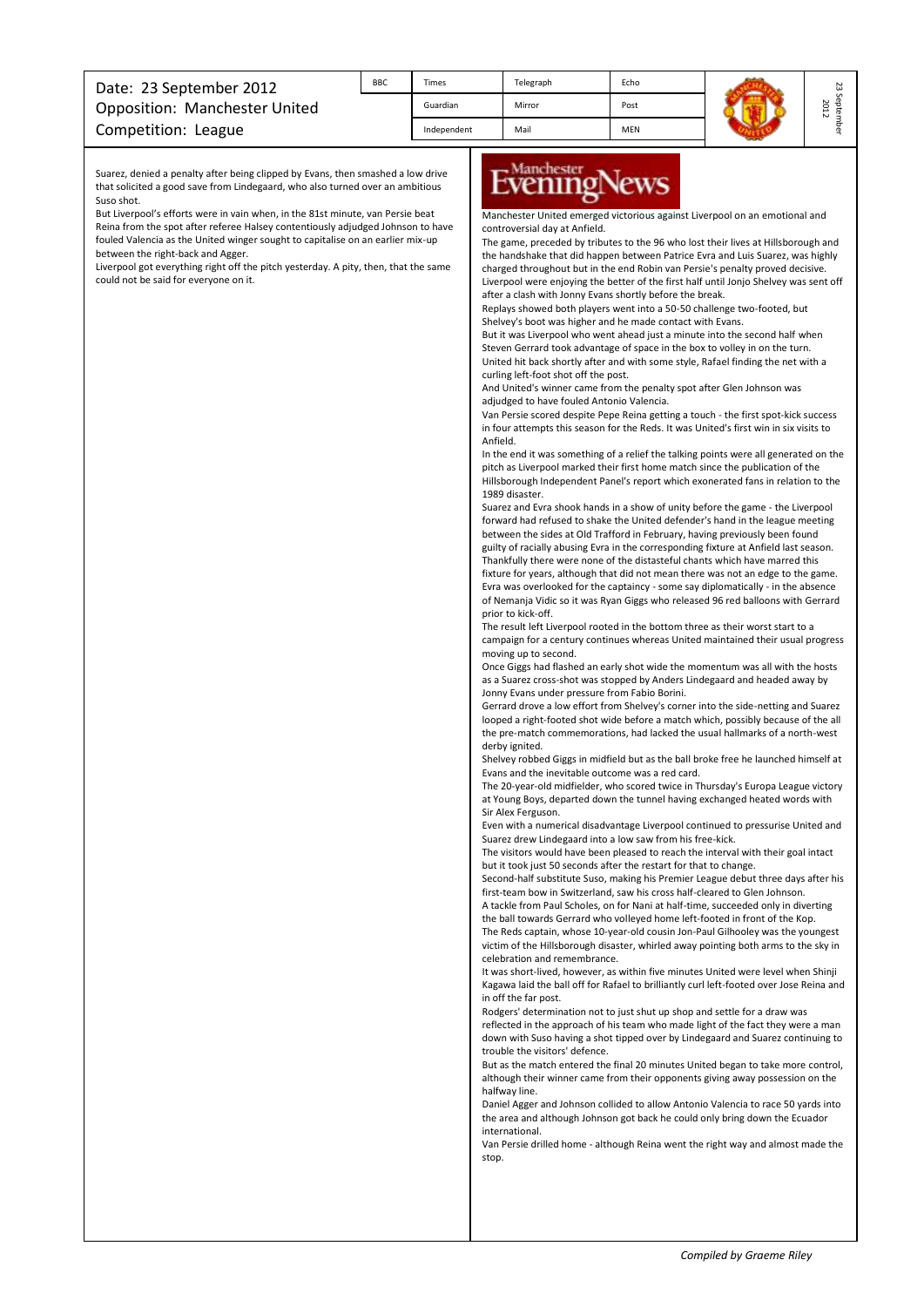| Date: 23 September 2012              | <b>BBC</b> | Times       | Telegraph | Echo       | N<br>w |
|--------------------------------------|------------|-------------|-----------|------------|--------|
| <b>Opposition: Manchester United</b> |            | Guardian    | Mirror    | Post       | 201    |
| Competition: League                  |            | Independent | Mail      | <b>MEN</b> |        |

Suarez, denied a penalty after being clipped by Evans, then smashed a low drive that solicited a good save from Lindegaard, who also turned over an ambitious Suso shot.

But Liverpool's efforts were in vain when, in the 81st minute, van Persie beat Reina from the spot after referee Halsey contentiously adjudged Johnson to have fouled Valencia as the United winger sought to capitalise on an earlier mix-up between the right-back and Agger.

Liverpool got everything right off the pitch yesterday. A pity, then, that the same could not be said for everyone on it.

# **EveningNews**

Manchester United emerged victorious against Liverpool on an emotional and controversial day at Anfield.

The game, preceded by tributes to the 96 who lost their lives at Hillsborough and the handshake that did happen between Patrice Evra and Luis Suarez, was highly charged throughout but in the end Robin van Persie's penalty proved decisive. Liverpool were enjoying the better of the first half until Jonjo Shelvey was sent off after a clash with Jonny Evans shortly before the break.

Replays showed both players went into a 50-50 challenge two-footed, but Shelvey's boot was higher and he made contact with Evans.

But it was Liverpool who went ahead just a minute into the second half when Steven Gerrard took advantage of space in the box to volley in on the turn. United hit back shortly after and with some style, Rafael finding the net with a curling left-foot shot off the post.

And United's winner came from the penalty spot after Glen Johnson was adjudged to have fouled Antonio Valencia.

Van Persie scored despite Pepe Reina getting a touch - the first spot-kick success in four attempts this season for the Reds. It was United's first win in six visits to Anfield.

In the end it was something of a relief the talking points were all generated on the pitch as Liverpool marked their first home match since the publication of the Hillsborough Independent Panel's report which exonerated fans in relation to the 1989 disaster.

Suarez and Evra shook hands in a show of unity before the game - the Liverpool forward had refused to shake the United defender's hand in the league meeting between the sides at Old Trafford in February, having previously been found guilty of racially abusing Evra in the corresponding fixture at Anfield last season. Thankfully there were none of the distasteful chants which have marred this fixture for years, although that did not mean there was not an edge to the game. Evra was overlooked for the captaincy - some say diplomatically - in the absence

of Nemanja Vidic so it was Ryan Giggs who released 96 red balloons with Gerrard prior to kick-off.

The result left Liverpool rooted in the bottom three as their worst start to a campaign for a century continues whereas United maintained their usual progress moving up to second.

Once Giggs had flashed an early shot wide the momentum was all with the hosts as a Suarez cross-shot was stopped by Anders Lindegaard and headed away by Jonny Evans under pressure from Fabio Borini.

Gerrard drove a low effort from Shelvey's corner into the side-netting and Suarez looped a right-footed shot wide before a match which, possibly because of the all the pre-match commemorations, had lacked the usual hallmarks of a north-west derby ignited.

Shelvey robbed Giggs in midfield but as the ball broke free he launched himself at Evans and the inevitable outcome was a red card.

The 20-year-old midfielder, who scored twice in Thursday's Europa League victory at Young Boys, departed down the tunnel having exchanged heated words with Sir Alex Ferguson.

Even with a numerical disadvantage Liverpool continued to pressurise United and Suarez drew Lindegaard into a low saw from his free-kick.

The visitors would have been pleased to reach the interval with their goal intact but it took just 50 seconds after the restart for that to change.

Second-half substitute Suso, making his Premier League debut three days after his first-team bow in Switzerland, saw his cross half-cleared to Glen Johnson.

A tackle from Paul Scholes, on for Nani at half-time, succeeded only in diverting the ball towards Gerrard who volleyed home left-footed in front of the Kop. The Reds captain, whose 10-year-old cousin Jon-Paul Gilhooley was the youngest victim of the Hillsborough disaster, whirled away pointing both arms to the sky in

celebration and remembrance. It was short-lived, however, as within five minutes United were level when Shinji Kagawa laid the ball off for Rafael to brilliantly curl left-footed over Jose Reina and in off the far post.

Rodgers' determination not to just shut up shop and settle for a draw was reflected in the approach of his team who made light of the fact they were a man down with Suso having a shot tipped over by Lindegaard and Suarez continuing to trouble the visitors' defence.

But as the match entered the final 20 minutes United began to take more control, although their winner came from their opponents giving away possession on the halfway line.

Daniel Agger and Johnson collided to allow Antonio Valencia to race 50 yards into the area and although Johnson got back he could only bring down the Ecuador international.

Van Persie drilled home - although Reina went the right way and almost made the stop.